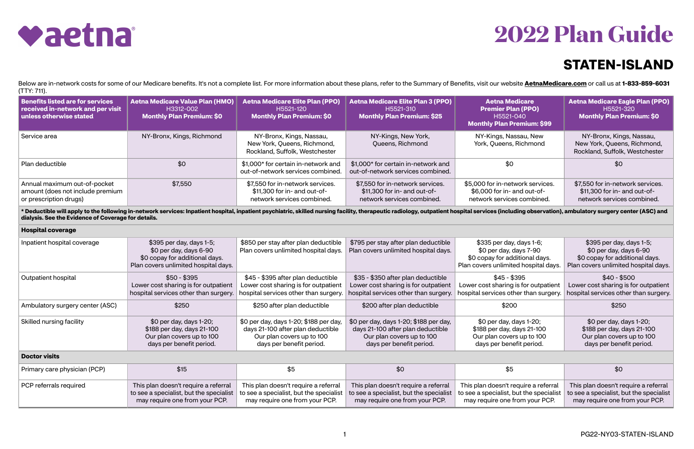

## **STATEN-ISLAND**



Below are in-network costs for some of our Medicare benefits. It's not a complete list. For more information about these plans, refer to the Summary of Benefits, visit our website [AetnaMedicare.com](http://AetnaMedicare.com) or call us at 1-833-859-(TTY: 711).

\* Deductible will apply to the following in-network services: Inpatient hospital, inpatient psychiatric, skilled nursing facility, therapeutic radiology, outpatient hospital services (including observation), ambulatory sur **dialysis. See the Evidence of Coverage for details.**

| Benefits listed are for services<br>received in-network and per visit<br>unless otherwise stated | <b>Aetna Medicare Value Plan (HMO)</b><br>H3312-002<br><b>Monthly Plan Premium: \$0</b> | <b>Aetna Medicare Elite Plan (PPO)</b><br>H5521-120<br><b>Monthly Plan Premium: \$0</b>        | Aetna Medicare Elite Plan 3 (PPO)<br>H5521-310<br><b>Monthly Plan Premium: \$25</b>            | <b>Aetna Medicare</b><br><b>Premier Plan (PPO)</b><br>H5521-040<br><b>Monthly Plan Premium: \$99</b> | <b>Aetna Medicare Eagle Plan (PPO)</b><br>H5521-320<br><b>Monthly Plan Premium: \$0</b>        |
|--------------------------------------------------------------------------------------------------|-----------------------------------------------------------------------------------------|------------------------------------------------------------------------------------------------|------------------------------------------------------------------------------------------------|------------------------------------------------------------------------------------------------------|------------------------------------------------------------------------------------------------|
| Service area                                                                                     | NY-Bronx, Kings, Richmond                                                               | NY-Bronx, Kings, Nassau,<br>New York, Queens, Richmond,<br>Rockland, Suffolk, Westchester      | NY-Kings, New York,<br>Queens, Richmond                                                        | NY-Kings, Nassau, New<br>York, Queens, Richmond                                                      | NY-Bronx, Kings, Nassau,<br>New York, Queens, Richmond,<br>Rockland, Suffolk, Westchester      |
| Plan deductible                                                                                  | \$0                                                                                     | \$1,000* for certain in-network and<br>out-of-network services combined.                       | \$1,000* for certain in-network and<br>out-of-network services combined.                       | \$0                                                                                                  | \$0                                                                                            |
| Annual maximum out-of-pocket<br>amount (does not include premium<br>or prescription drugs)       | \$7,550                                                                                 | \$7,550 for in-network services.<br>\$11,300 for in- and out-of-<br>network services combined. | \$7,550 for in-network services.<br>\$11,300 for in- and out-of-<br>network services combined. | \$5,000 for in-network services.<br>\$6,000 for in- and out-of-<br>network services combined.        | \$7,550 for in-network services.<br>\$11,300 for in- and out-of-<br>network services combined. |

| <b>Hospital coverage</b>        |                                                                                                                               |                                                                                                                                      |                                                                                                                                      |                                                                                                                              |                                                                                                                               |  |
|---------------------------------|-------------------------------------------------------------------------------------------------------------------------------|--------------------------------------------------------------------------------------------------------------------------------------|--------------------------------------------------------------------------------------------------------------------------------------|------------------------------------------------------------------------------------------------------------------------------|-------------------------------------------------------------------------------------------------------------------------------|--|
| Inpatient hospital coverage     | \$395 per day, days 1-5;<br>$$0$ per day, days 6-90<br>\$0 copay for additional days.<br>Plan covers unlimited hospital days. | \$850 per stay after plan deductible<br>Plan covers unlimited hospital days.                                                         | \$795 per stay after plan deductible<br>Plan covers unlimited hospital days.                                                         | \$335 per day, days 1-6;<br>\$0 per day, days 7-90<br>\$0 copay for additional days.<br>Plan covers unlimited hospital days. | \$395 per day, days 1-5;<br>$$0$ per day, days 6-90<br>\$0 copay for additional days.<br>Plan covers unlimited hospital days. |  |
| Outpatient hospital             | $$50 - $395$<br>Lower cost sharing is for outpatient<br>hospital services other than surgery.                                 | \$45 - \$395 after plan deductible<br>Lower cost sharing is for outpatient<br>hospital services other than surgery.                  | \$35 - \$350 after plan deductible<br>Lower cost sharing is for outpatient<br>hospital services other than surgery.                  | $$45 - $395$<br>Lower cost sharing is for outpatient<br>hospital services other than surgery.                                | $$40 - $500$<br>Lower cost sharing is for outpatient<br>hospital services other than surgery.                                 |  |
| Ambulatory surgery center (ASC) | \$250                                                                                                                         | \$250 after plan deductible                                                                                                          | \$200 after plan deductible                                                                                                          | \$200                                                                                                                        | \$250                                                                                                                         |  |
| Skilled nursing facility        | \$0 per day, days 1-20;<br>\$188 per day, days 21-100<br>Our plan covers up to 100<br>days per benefit period.                | \$0 per day, days 1-20; \$188 per day,<br>days 21-100 after plan deductible<br>Our plan covers up to 100<br>days per benefit period. | \$0 per day, days 1-20; \$188 per day,<br>days 21-100 after plan deductible<br>Our plan covers up to 100<br>days per benefit period. | \$0 per day, days 1-20;<br>\$188 per day, days 21-100<br>Our plan covers up to 100<br>days per benefit period.               | \$0 per day, days 1-20;<br>\$188 per day, days 21-100<br>Our plan covers up to 100<br>days per benefit period.                |  |
| <b>Doctor visits</b>            |                                                                                                                               |                                                                                                                                      |                                                                                                                                      |                                                                                                                              |                                                                                                                               |  |
| Primary care physician (PCP)    | \$15                                                                                                                          | \$5                                                                                                                                  | \$0                                                                                                                                  | \$5                                                                                                                          | \$0                                                                                                                           |  |
| PCP referrals required          | This plan doesn't require a referral<br>to see a specialist, but the specialist<br>may require one from your PCP.             | This plan doesn't require a referral<br>to see a specialist, but the specialist<br>may require one from your PCP.                    | This plan doesn't require a referral<br>to see a specialist, but the specialist<br>may require one from your PCP.                    | This plan doesn't require a referral<br>to see a specialist, but the specialist<br>may require one from your PCP.            | This plan doesn't require a referral<br>to see a specialist, but the specialist<br>may require one from your PCP.             |  |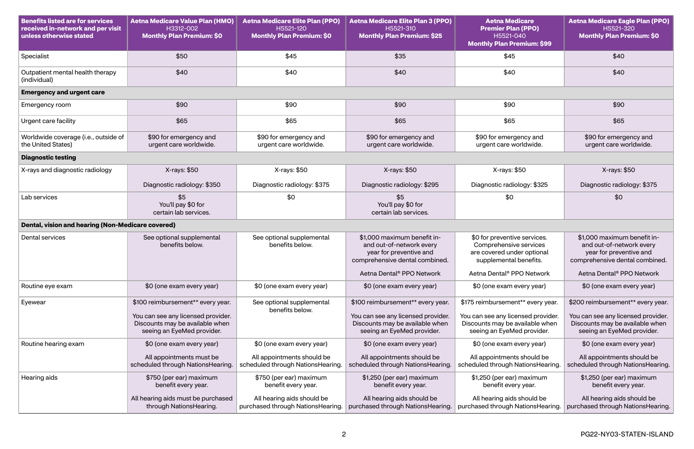| <b>Benefits listed are for services</b><br>received in-network and per visit<br>unless otherwise stated | <b>Aetna Medicare Value Plan (HMO)</b><br>H3312-002<br><b>Monthly Plan Premium: \$0</b>                                                  | <b>Aetna Medicare Elite Plan (PPO)</b><br>H5521-120<br><b>Monthly Plan Premium: \$0</b> | <b>Aetna Medicare Elite Plan 3 (PPO)</b><br>H5521-310<br><b>Monthly Plan Premium: \$25</b>                                               | <b>Aetna Medicare</b><br><b>Premier Plan (PPO)</b><br>H5521-040<br><b>Monthly Plan Premium: \$99</b>                                     | <b>Aetna Medicare Eagle Plan (PPO)</b><br>H5521-320<br><b>Monthly Plan Premium: \$0</b>                                                  |
|---------------------------------------------------------------------------------------------------------|------------------------------------------------------------------------------------------------------------------------------------------|-----------------------------------------------------------------------------------------|------------------------------------------------------------------------------------------------------------------------------------------|------------------------------------------------------------------------------------------------------------------------------------------|------------------------------------------------------------------------------------------------------------------------------------------|
| Specialist                                                                                              | \$50                                                                                                                                     | \$45                                                                                    | \$35                                                                                                                                     | \$45                                                                                                                                     | \$40                                                                                                                                     |
| Outpatient mental health therapy<br>(individual)                                                        | \$40                                                                                                                                     | \$40                                                                                    | \$40                                                                                                                                     | \$40                                                                                                                                     | \$40                                                                                                                                     |
| <b>Emergency and urgent care</b>                                                                        |                                                                                                                                          |                                                                                         |                                                                                                                                          |                                                                                                                                          |                                                                                                                                          |
| Emergency room                                                                                          | \$90                                                                                                                                     | \$90                                                                                    | \$90                                                                                                                                     | \$90                                                                                                                                     | \$90                                                                                                                                     |
| Urgent care facility                                                                                    | \$65                                                                                                                                     | \$65                                                                                    | \$65                                                                                                                                     | \$65                                                                                                                                     | \$65                                                                                                                                     |
| Worldwide coverage (i.e., outside of<br>the United States)                                              | \$90 for emergency and<br>urgent care worldwide.                                                                                         | \$90 for emergency and<br>urgent care worldwide.                                        | \$90 for emergency and<br>urgent care worldwide.                                                                                         | \$90 for emergency and<br>urgent care worldwide.                                                                                         | \$90 for emergency and<br>urgent care worldwide.                                                                                         |
| <b>Diagnostic testing</b>                                                                               |                                                                                                                                          |                                                                                         |                                                                                                                                          |                                                                                                                                          |                                                                                                                                          |
| X-rays and diagnostic radiology                                                                         | X-rays: \$50                                                                                                                             | X-rays: \$50                                                                            | X-rays: \$50                                                                                                                             | X-rays: \$50                                                                                                                             | X-rays: \$50                                                                                                                             |
|                                                                                                         | Diagnostic radiology: \$350                                                                                                              | Diagnostic radiology: \$375                                                             | Diagnostic radiology: \$295                                                                                                              | Diagnostic radiology: \$325                                                                                                              | Diagnostic radiology: \$375                                                                                                              |
| Lab services                                                                                            | \$5<br>You'll pay \$0 for<br>certain lab services.                                                                                       | \$0                                                                                     | \$5<br>You'll pay \$0 for<br>certain lab services.                                                                                       | \$0                                                                                                                                      | \$0                                                                                                                                      |
| Dental, vision and hearing (Non-Medicare covered)                                                       |                                                                                                                                          |                                                                                         |                                                                                                                                          |                                                                                                                                          |                                                                                                                                          |
| <b>Dental services</b>                                                                                  | See optional supplemental<br>benefits below.                                                                                             | See optional supplemental<br>benefits below.                                            | \$1,000 maximum benefit in-<br>and out-of-network every<br>year for preventive and<br>comprehensive dental combined.                     | \$0 for preventive services.<br>Comprehensive services<br>are covered under optional<br>supplemental benefits.                           | \$1,000 maximum benefit in-<br>and out-of-network every<br>year for preventive and<br>comprehensive dental combined.                     |
|                                                                                                         |                                                                                                                                          |                                                                                         | Aetna Dental <sup>®</sup> PPO Network                                                                                                    | Aetna Dental <sup>®</sup> PPO Network                                                                                                    | Aetna Dental <sup>®</sup> PPO Network                                                                                                    |
| Routine eye exam                                                                                        | \$0 (one exam every year)                                                                                                                | \$0 (one exam every year)                                                               | \$0 (one exam every year)                                                                                                                | \$0 (one exam every year)                                                                                                                | \$0 (one exam every year)                                                                                                                |
| Eyewear                                                                                                 | \$100 reimbursement** every year.<br>You can see any licensed provider.<br>Discounts may be available when<br>seeing an EyeMed provider. | See optional supplemental<br>benefits below.                                            | \$100 reimbursement** every year.<br>You can see any licensed provider.<br>Discounts may be available when<br>seeing an EyeMed provider. | \$175 reimbursement** every year.<br>You can see any licensed provider.<br>Discounts may be available when<br>seeing an EyeMed provider. | \$200 reimbursement** every year.<br>You can see any licensed provider.<br>Discounts may be available when<br>seeing an EyeMed provider. |
| Routine hearing exam                                                                                    | \$0 (one exam every year)                                                                                                                | \$0 (one exam every year)                                                               | \$0 (one exam every year)                                                                                                                | \$0 (one exam every year)                                                                                                                | \$0 (one exam every year)                                                                                                                |
|                                                                                                         | All appointments must be<br>scheduled through NationsHearing.                                                                            | All appointments should be<br>scheduled through NationsHearing.                         | All appointments should be<br>scheduled through NationsHearing.                                                                          | All appointments should be<br>scheduled through NationsHearing.                                                                          | All appointments should be<br>scheduled through NationsHearing.                                                                          |
| Hearing aids                                                                                            | \$750 (per ear) maximum<br>benefit every year.                                                                                           | \$750 (per ear) maximum<br>benefit every year.                                          | \$1,250 (per ear) maximum<br>benefit every year.                                                                                         | \$1,250 (per ear) maximum<br>benefit every year.                                                                                         | \$1,250 (per ear) maximum<br>benefit every year.                                                                                         |
|                                                                                                         | All hearing aids must be purchased<br>through NationsHearing.                                                                            | All hearing aids should be<br>purchased through NationsHearing.                         | All hearing aids should be<br>purchased through NationsHearing.                                                                          | All hearing aids should be<br>purchased through NationsHearing.                                                                          | All hearing aids should be<br>purchased through NationsHearing.                                                                          |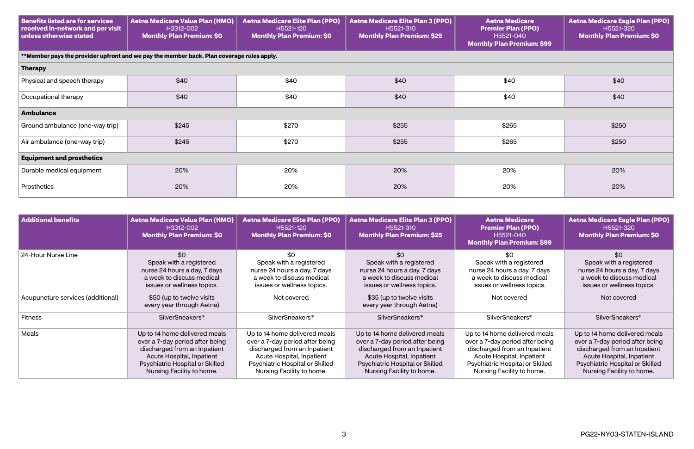| <b>Benefits listed are for services</b><br>received in-network and per visit<br>unless otherwise stated | <b>Aetna Medicare Value Plan (HMO)</b><br>H3312-002<br><b>Monthly Plan Premium: \$0</b>   | <b>Aetna Medicare Elite Plan (PPO)</b><br>H5521-120<br><b>Monthly Plan Premium: \$0</b> | <b>Aetna Medicare Elite Plan 3 (PPO)</b><br>H5521-310<br><b>Monthly Plan Premium: \$25</b> | <b>Aetna Medicare</b><br><b>Premier Plan (PPO)</b><br>H5521-040<br><b>Monthly Plan Premium: \$99</b> | <b>Aetna Medicare Eagle Plan (PPO)</b><br>H5521-320<br><b>Monthly Plan Premium: \$0</b> |  |  |
|---------------------------------------------------------------------------------------------------------|-------------------------------------------------------------------------------------------|-----------------------------------------------------------------------------------------|--------------------------------------------------------------------------------------------|------------------------------------------------------------------------------------------------------|-----------------------------------------------------------------------------------------|--|--|
|                                                                                                         | **Member pays the provider upfront and we pay the member back. Plan coverage rules apply. |                                                                                         |                                                                                            |                                                                                                      |                                                                                         |  |  |
| Therapy                                                                                                 |                                                                                           |                                                                                         |                                                                                            |                                                                                                      |                                                                                         |  |  |
| Physical and speech therapy                                                                             | \$40                                                                                      | \$40                                                                                    | \$40                                                                                       | \$40                                                                                                 | \$40                                                                                    |  |  |
| Occupational therapy                                                                                    | \$40                                                                                      | \$40                                                                                    | \$40                                                                                       | \$40                                                                                                 | \$40                                                                                    |  |  |
| <b>Ambulance</b>                                                                                        |                                                                                           |                                                                                         |                                                                                            |                                                                                                      |                                                                                         |  |  |
| Ground ambulance (one-way trip)                                                                         | \$245                                                                                     | \$270                                                                                   | \$255                                                                                      | \$265                                                                                                | \$250                                                                                   |  |  |
| Air ambulance (one-way trip)                                                                            | \$245                                                                                     | \$270                                                                                   | \$255                                                                                      | \$265                                                                                                | \$250                                                                                   |  |  |
| <b>Equipment and prosthetics</b>                                                                        |                                                                                           |                                                                                         |                                                                                            |                                                                                                      |                                                                                         |  |  |
| Durable medical equipment                                                                               | 20%                                                                                       | 20%                                                                                     | 20%                                                                                        | 20%                                                                                                  | 20%                                                                                     |  |  |
| Prosthetics                                                                                             | 20%                                                                                       | 20%                                                                                     | 20%                                                                                        | 20%                                                                                                  | 20%                                                                                     |  |  |

| <b>Additional benefits</b>        | <b>Aetna Medicare Value Plan (HMO)</b><br>H3312-002<br><b>Monthly Plan Premium: \$0</b>                                                                                                       | <b>Aetna Medicare Elite Plan (PPO)</b><br>H5521-120<br><b>Monthly Plan Premium: \$0</b>                                                                                                       | <b>Aetna Medicare Elite Plan 3 (PPO)</b><br>H5521-310<br><b>Monthly Plan Premium: \$25</b>                                                                                                    | <b>Aetna Medicare</b><br><b>Premier Plan (PPO)</b><br>H5521-040<br><b>Monthly Plan Premium: \$99</b>                                                                                          | <b>Aetna Medicare Eagle Plan (PPO)</b><br>H5521-320<br><b>Monthly Plan Premium: \$0</b>                                                                                                       |
|-----------------------------------|-----------------------------------------------------------------------------------------------------------------------------------------------------------------------------------------------|-----------------------------------------------------------------------------------------------------------------------------------------------------------------------------------------------|-----------------------------------------------------------------------------------------------------------------------------------------------------------------------------------------------|-----------------------------------------------------------------------------------------------------------------------------------------------------------------------------------------------|-----------------------------------------------------------------------------------------------------------------------------------------------------------------------------------------------|
| 24-Hour Nurse Line                | \$0<br>Speak with a registered<br>nurse 24 hours a day, 7 days<br>a week to discuss medical<br>issues or wellness topics.                                                                     | \$0<br>Speak with a registered<br>nurse 24 hours a day, 7 days<br>a week to discuss medical<br>issues or wellness topics.                                                                     | \$0<br>Speak with a registered<br>nurse 24 hours a day, 7 days<br>a week to discuss medical<br>issues or wellness topics.                                                                     | \$0<br>Speak with a registered<br>nurse 24 hours a day, 7 days<br>a week to discuss medical<br>issues or wellness topics.                                                                     | \$0<br>Speak with a registered<br>nurse 24 hours a day, 7 days<br>a week to discuss medical<br>issues or wellness topics.                                                                     |
| Acupuncture services (additional) | \$50 (up to twelve visits<br>every year through Aetna)                                                                                                                                        | Not covered                                                                                                                                                                                   | \$35 (up to twelve visits<br>every year through Aetna)                                                                                                                                        | Not covered                                                                                                                                                                                   | Not covered                                                                                                                                                                                   |
| <b>Fitness</b>                    | <b>SilverSneakers</b> <sup>®</sup>                                                                                                                                                            | <b>SilverSneakers<sup>®</sup></b>                                                                                                                                                             | <b>SilverSneakers<sup>®</sup></b>                                                                                                                                                             | <b>SilverSneakers<sup>®</sup></b>                                                                                                                                                             | <b>SilverSneakers<sup>®</sup></b>                                                                                                                                                             |
| Meals                             | Up to 14 home delivered meals<br>over a 7-day period after being<br>discharged from an Inpatient<br>Acute Hospital, Inpatient<br>Psychiatric Hospital or Skilled<br>Nursing Facility to home. | Up to 14 home delivered meals<br>over a 7-day period after being<br>discharged from an Inpatient<br>Acute Hospital, Inpatient<br>Psychiatric Hospital or Skilled<br>Nursing Facility to home. | Up to 14 home delivered meals<br>over a 7-day period after being<br>discharged from an Inpatient<br>Acute Hospital, Inpatient<br>Psychiatric Hospital or Skilled<br>Nursing Facility to home. | Up to 14 home delivered meals<br>over a 7-day period after being<br>discharged from an Inpatient<br>Acute Hospital, Inpatient<br>Psychiatric Hospital or Skilled<br>Nursing Facility to home. | Up to 14 home delivered meals<br>over a 7-day period after being<br>discharged from an Inpatient<br>Acute Hospital, Inpatient<br>Psychiatric Hospital or Skilled<br>Nursing Facility to home. |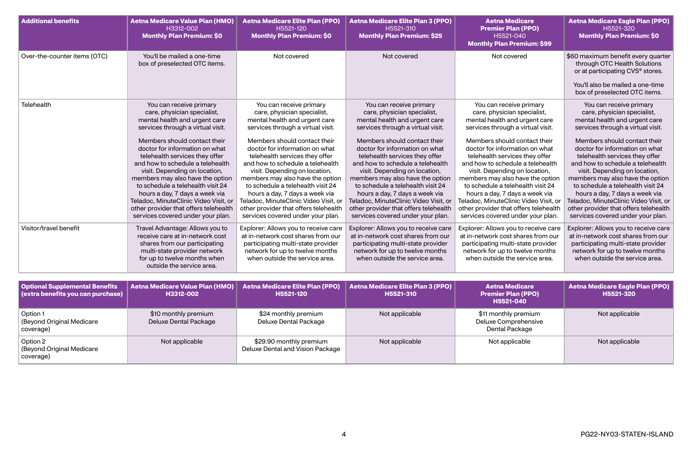| <b>Additional benefits</b>                                                 | <b>Aetna Medicare Value Plan (HMO)</b><br>H3312-002<br><b>Monthly Plan Premium: \$0</b>                                                                                                                                                                                                                                                                                                                                                                                                                                                 | <b>Aetna Medicare Elite Plan (PPO)</b><br>H5521-120<br><b>Monthly Plan Premium: \$0</b>                                                                                                                                                                                                                                                                                                                                                                                                                                                 | <b>Aetna Medicare Elite Plan 3 (PPO)</b><br>H5521-310<br><b>Monthly Plan Premium: \$25</b>                                                                                                                                                                                                                                                                                                                                                                                                                                              | <b>Aetna Medicare</b><br><b>Premier Plan (PPO)</b><br>H5521-040<br><b>Monthly Plan Premium: \$99</b>                                                                                                                                                                                                                                                                                                                                                                                                                                    | <b>Aetna Medicare Eagle Plan (PPO)</b><br>H5521-320<br><b>Monthly Plan Premium: \$0</b>                                                                                                                                                                                                                                                                                                                                                                                                                                                 |
|----------------------------------------------------------------------------|-----------------------------------------------------------------------------------------------------------------------------------------------------------------------------------------------------------------------------------------------------------------------------------------------------------------------------------------------------------------------------------------------------------------------------------------------------------------------------------------------------------------------------------------|-----------------------------------------------------------------------------------------------------------------------------------------------------------------------------------------------------------------------------------------------------------------------------------------------------------------------------------------------------------------------------------------------------------------------------------------------------------------------------------------------------------------------------------------|-----------------------------------------------------------------------------------------------------------------------------------------------------------------------------------------------------------------------------------------------------------------------------------------------------------------------------------------------------------------------------------------------------------------------------------------------------------------------------------------------------------------------------------------|-----------------------------------------------------------------------------------------------------------------------------------------------------------------------------------------------------------------------------------------------------------------------------------------------------------------------------------------------------------------------------------------------------------------------------------------------------------------------------------------------------------------------------------------|-----------------------------------------------------------------------------------------------------------------------------------------------------------------------------------------------------------------------------------------------------------------------------------------------------------------------------------------------------------------------------------------------------------------------------------------------------------------------------------------------------------------------------------------|
| Over-the-counter items (OTC)                                               | You'll be mailed a one-time<br>box of preselected OTC items.                                                                                                                                                                                                                                                                                                                                                                                                                                                                            | Not covered                                                                                                                                                                                                                                                                                                                                                                                                                                                                                                                             | Not covered                                                                                                                                                                                                                                                                                                                                                                                                                                                                                                                             | Not covered                                                                                                                                                                                                                                                                                                                                                                                                                                                                                                                             | \$60 maximum benefit every quarter<br>through OTC Health Solutions<br>or at participating CVS® stores.                                                                                                                                                                                                                                                                                                                                                                                                                                  |
|                                                                            |                                                                                                                                                                                                                                                                                                                                                                                                                                                                                                                                         |                                                                                                                                                                                                                                                                                                                                                                                                                                                                                                                                         |                                                                                                                                                                                                                                                                                                                                                                                                                                                                                                                                         |                                                                                                                                                                                                                                                                                                                                                                                                                                                                                                                                         | You'll also be mailed a one-time<br>box of preselected OTC items.                                                                                                                                                                                                                                                                                                                                                                                                                                                                       |
| Telehealth                                                                 | You can receive primary<br>care, physician specialist,<br>mental health and urgent care<br>services through a virtual visit.<br>Members should contact their<br>doctor for information on what<br>telehealth services they offer<br>and how to schedule a telehealth<br>visit. Depending on location,<br>members may also have the option<br>to schedule a telehealth visit 24<br>hours a day, 7 days a week via<br>Teladoc, MinuteClinic Video Visit, or<br>other provider that offers telehealth<br>services covered under your plan. | You can receive primary<br>care, physician specialist,<br>mental health and urgent care<br>services through a virtual visit.<br>Members should contact their<br>doctor for information on what<br>telehealth services they offer<br>and how to schedule a telehealth<br>visit. Depending on location,<br>members may also have the option<br>to schedule a telehealth visit 24<br>hours a day, 7 days a week via<br>Teladoc, MinuteClinic Video Visit, or<br>other provider that offers telehealth<br>services covered under your plan. | You can receive primary<br>care, physician specialist,<br>mental health and urgent care<br>services through a virtual visit.<br>Members should contact their<br>doctor for information on what<br>telehealth services they offer<br>and how to schedule a telehealth<br>visit. Depending on location,<br>members may also have the option<br>to schedule a telehealth visit 24<br>hours a day, 7 days a week via<br>Teladoc, MinuteClinic Video Visit, or<br>other provider that offers telehealth<br>services covered under your plan. | You can receive primary<br>care, physician specialist,<br>mental health and urgent care<br>services through a virtual visit.<br>Members should contact their<br>doctor for information on what<br>telehealth services they offer<br>and how to schedule a telehealth<br>visit. Depending on location,<br>members may also have the option<br>to schedule a telehealth visit 24<br>hours a day, 7 days a week via<br>Teladoc, MinuteClinic Video Visit, or<br>other provider that offers telehealth<br>services covered under your plan. | You can receive primary<br>care, physician specialist,<br>mental health and urgent care<br>services through a virtual visit.<br>Members should contact their<br>doctor for information on what<br>telehealth services they offer<br>and how to schedule a telehealth<br>visit. Depending on location,<br>members may also have the option<br>to schedule a telehealth visit 24<br>hours a day, 7 days a week via<br>Teladoc, MinuteClinic Video Visit, or<br>other provider that offers telehealth<br>services covered under your plan. |
| Visitor/travel benefit                                                     | Travel Advantage: Allows you to<br>receive care at in-network cost<br>shares from our participating<br>multi-state provider network<br>for up to twelve months when<br>outside the service area.                                                                                                                                                                                                                                                                                                                                        | Explorer: Allows you to receive care<br>at in-network cost shares from our<br>participating multi-state provider<br>network for up to twelve months<br>when outside the service area.                                                                                                                                                                                                                                                                                                                                                   | Explorer: Allows you to receive care<br>at in-network cost shares from our<br>participating multi-state provider<br>network for up to twelve months<br>when outside the service area.                                                                                                                                                                                                                                                                                                                                                   | Explorer: Allows you to receive care<br>at in-network cost shares from our<br>participating multi-state provider<br>network for up to twelve months<br>when outside the service area.                                                                                                                                                                                                                                                                                                                                                   | Explorer: Allows you to receive care<br>at in-network cost shares from our<br>participating multi-state provider<br>network for up to twelve months<br>when outside the service area.                                                                                                                                                                                                                                                                                                                                                   |
| <b>Optional Supplemental Benefits</b><br>(extra benefits you can purchase) | <b>Aetna Medicare Value Plan (HMO)</b><br>H3312-002                                                                                                                                                                                                                                                                                                                                                                                                                                                                                     | <b>Aetna Medicare Elite Plan (PPO)</b><br>H5521-120                                                                                                                                                                                                                                                                                                                                                                                                                                                                                     | <b>Aetna Medicare Elite Plan 3 (PPO)</b><br>H5521-310                                                                                                                                                                                                                                                                                                                                                                                                                                                                                   | <b>Aetna Medicare</b><br><b>Premier Plan (PPO)</b><br>H5521-040                                                                                                                                                                                                                                                                                                                                                                                                                                                                         | <b>Aetna Medicare Eagle Plan (PPO)</b><br>H5521-320                                                                                                                                                                                                                                                                                                                                                                                                                                                                                     |
| Option 1<br>(Beyond Original Medicare<br>coverage)                         | \$10 monthly premium<br><b>Deluxe Dental Package</b>                                                                                                                                                                                                                                                                                                                                                                                                                                                                                    | \$24 monthly premium<br><b>Deluxe Dental Package</b>                                                                                                                                                                                                                                                                                                                                                                                                                                                                                    | Not applicable                                                                                                                                                                                                                                                                                                                                                                                                                                                                                                                          | \$11 monthly premium<br>Deluxe Comprehensive<br>Dental Package                                                                                                                                                                                                                                                                                                                                                                                                                                                                          | Not applicable                                                                                                                                                                                                                                                                                                                                                                                                                                                                                                                          |
| Option 2                                                                   | Not applicable                                                                                                                                                                                                                                                                                                                                                                                                                                                                                                                          | \$29.90 monthly premium                                                                                                                                                                                                                                                                                                                                                                                                                                                                                                                 | Not applicable                                                                                                                                                                                                                                                                                                                                                                                                                                                                                                                          | Not applicable                                                                                                                                                                                                                                                                                                                                                                                                                                                                                                                          | Not applicable                                                                                                                                                                                                                                                                                                                                                                                                                                                                                                                          |

| (extra benefits you can purchase)                  | H3312-002                                            | H5521-120                                                   | H5521-310      | <b>Premier</b><br><b>H55</b>      |
|----------------------------------------------------|------------------------------------------------------|-------------------------------------------------------------|----------------|-----------------------------------|
| Option 1<br>(Beyond Original Medicare<br>coverage) | \$10 monthly premium<br><b>Deluxe Dental Package</b> | \$24 monthly premium<br><b>Deluxe Dental Package</b>        | Not applicable | \$11 month<br>Deluxe Co<br>Dental |
| Option 2<br>(Beyond Original Medicare<br>coverage) | Not applicable                                       | \$29.90 monthly premium<br>Deluxe Dental and Vision Package | Not applicable | Not ap                            |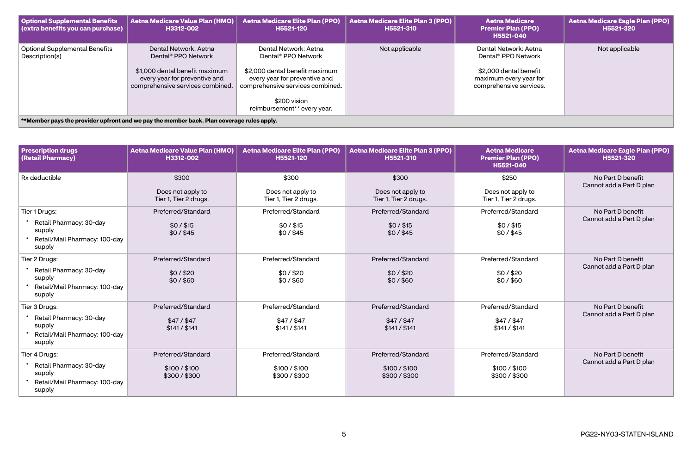| <b>Optional Supplemental Benefits</b><br>(extra benefits you can purchase) | Aetna Medicare Value Plan (HMO)<br>H3312-002                                                                                                                    | <b>Aetna Medicare Elite Plan (PPO)</b><br>H5521-120                                                                                                                                                            | Aetna Medicare Elite Plan 3 (PPO)<br>H5521-310 | <b>Aetna Medicare</b><br><b>Premier Plan (PPO)</b><br>H5521-040                                                                         | <b>Aetna Medicare Eagle Plan (PPO)</b><br>H5521-320 |
|----------------------------------------------------------------------------|-----------------------------------------------------------------------------------------------------------------------------------------------------------------|----------------------------------------------------------------------------------------------------------------------------------------------------------------------------------------------------------------|------------------------------------------------|-----------------------------------------------------------------------------------------------------------------------------------------|-----------------------------------------------------|
| <b>Optional Supplemental Benefits</b><br>Description(s)                    | Dental Network: Aetna<br>Dental <sup>®</sup> PPO Network<br>\$1,000 dental benefit maximum<br>every year for preventive and<br>comprehensive services combined. | Dental Network: Aetna<br>Dental <sup>®</sup> PPO Network<br>\$2,000 dental benefit maximum<br>every year for preventive and<br>comprehensive services combined.<br>\$200 vision<br>reimbursement** every year. | Not applicable                                 | Dental Network: Aetna<br>Dental <sup>®</sup> PPO Network<br>\$2,000 dental benefit<br>maximum every year for<br>comprehensive services. | Not applicable                                      |
|                                                                            | **Member pays the provider upfront and we pay the member back. Plan coverage rules apply.                                                                       |                                                                                                                                                                                                                |                                                |                                                                                                                                         |                                                     |

| <b>Prescription drugs</b><br>(Retail Pharmacy)                               | <b>Aetna Medicare Value Plan (HMO)</b><br>H3312-002 | <b>Aetna Medicare Elite Plan (PPO)</b><br>H5521-120 | <b>Aetna Medicare Elite Plan 3 (PPO)</b><br>H5521-310 | <b>Aetna Medicare</b><br><b>Premier Plan (PPO)</b><br>H5521-040 | <b>Aetna Medicare Eagle Plan (PPO)</b><br>H5521-320 |
|------------------------------------------------------------------------------|-----------------------------------------------------|-----------------------------------------------------|-------------------------------------------------------|-----------------------------------------------------------------|-----------------------------------------------------|
| Rx deductible                                                                | \$300                                               | \$300                                               | \$300                                                 | \$250                                                           | No Part D benefit                                   |
|                                                                              | Does not apply to<br>Tier 1, Tier 2 drugs.          | Does not apply to<br>Tier 1, Tier 2 drugs.          | Does not apply to<br>Tier 1, Tier 2 drugs.            | Does not apply to<br>Tier 1, Tier 2 drugs.                      | Cannot add a Part D plan                            |
| Tier 1 Drugs:                                                                | Preferred/Standard                                  | Preferred/Standard                                  | Preferred/Standard                                    | Preferred/Standard                                              | No Part D benefit                                   |
| Retail Pharmacy: 30-day<br>supply<br>Retail/Mail Pharmacy: 100-day<br>supply | $$0/$ \$15<br>\$0/\$45                              | $$0/$ \$15<br>$$0/$ $$45$                           | $$0/$ \$15<br>$$0/$ \$45                              | $$0/$ $$15$<br>$$0/$ \$45                                       | Cannot add a Part D plan                            |
| Tier 2 Drugs:                                                                | Preferred/Standard                                  | Preferred/Standard                                  | Preferred/Standard                                    | Preferred/Standard                                              | No Part D benefit                                   |
| Retail Pharmacy: 30-day<br>supply<br>Retail/Mail Pharmacy: 100-day<br>supply | \$0/\$20<br>\$0/\$60                                | \$0/\$20<br>\$0/\$60                                | \$0/\$20<br>\$0/\$60                                  | \$0/\$20<br>\$0/\$60                                            | Cannot add a Part D plan                            |
| Tier 3 Drugs:                                                                | Preferred/Standard                                  | Preferred/Standard                                  | Preferred/Standard                                    | Preferred/Standard                                              | No Part D benefit                                   |
| Retail Pharmacy: 30-day<br>supply<br>Retail/Mail Pharmacy: 100-day<br>supply | \$47/\$47<br>\$141 / \$141                          | $$47/$ \$47<br>\$141 / \$141                        | $$47/$ \$47<br>\$141 / \$141                          | $$47/$ \$47<br>\$141 / \$141                                    | Cannot add a Part D plan                            |
| Tier 4 Drugs:                                                                | Preferred/Standard                                  | Preferred/Standard                                  | Preferred/Standard                                    | Preferred/Standard                                              | No Part D benefit                                   |
| Retail Pharmacy: 30-day<br>supply<br>Retail/Mail Pharmacy: 100-day<br>supply | \$100 / \$100<br>\$300 / \$300                      | \$100 / \$100<br>\$300/\$300                        | \$100 / \$100<br>\$300 / \$300                        | \$100 / \$100<br>\$300 / \$300                                  | Cannot add a Part D plan                            |